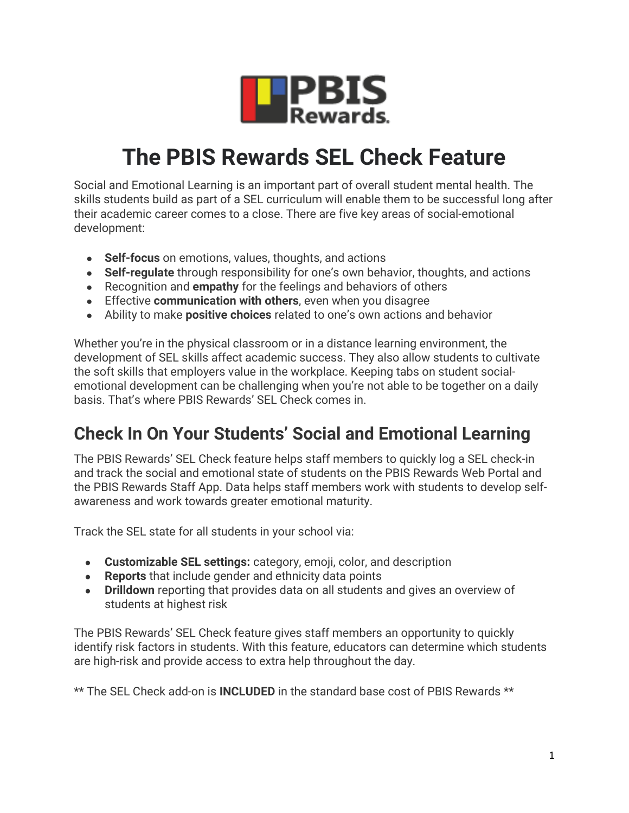

## **The PBIS Rewards SEL Check Feature**

Social and Emotional Learning is an important part of overall student mental health. The skills students build as part of a SEL curriculum will enable them to be successful long after their academic career comes to a close. There are five key areas of social-emotional development:

- **Self-focus** on emotions, values, thoughts, and actions
- **Self-regulate** through responsibility for one's own behavior, thoughts, and actions
- Recognition and **empathy** for the feelings and behaviors of others
- Effective **communication with others**, even when you disagree
- Ability to make **positive choices** related to one's own actions and behavior

Whether you're in the physical classroom or in a distance learning environment, the development of SEL skills affect academic success. They also allow students to cultivate the soft skills that employers value in the workplace. Keeping tabs on student socialemotional development can be challenging when you're not able to be together on a daily basis. That's where PBIS Rewards' SEL Check comes in.

## **Check In On Your Students' Social and Emotional Learning**

The PBIS Rewards' SEL Check feature helps staff members to quickly log a SEL check-in and track the social and emotional state of students on the PBIS Rewards Web Portal and the PBIS Rewards Staff App. Data helps staff members work with students to develop selfawareness and work towards greater emotional maturity.

Track the SEL state for all students in your school via:

- **Customizable SEL settings:** category, emoji, color, and description
- **Reports** that include gender and ethnicity data points
- **Drilldown** reporting that provides data on all students and gives an overview of students at highest risk

The PBIS Rewards' SEL Check feature gives staff members an opportunity to quickly identify risk factors in students. With this feature, educators can determine which students are high-risk and provide access to extra help throughout the day.

\*\* The SEL Check add-on is **INCLUDED** in the standard base cost of PBIS Rewards \*\*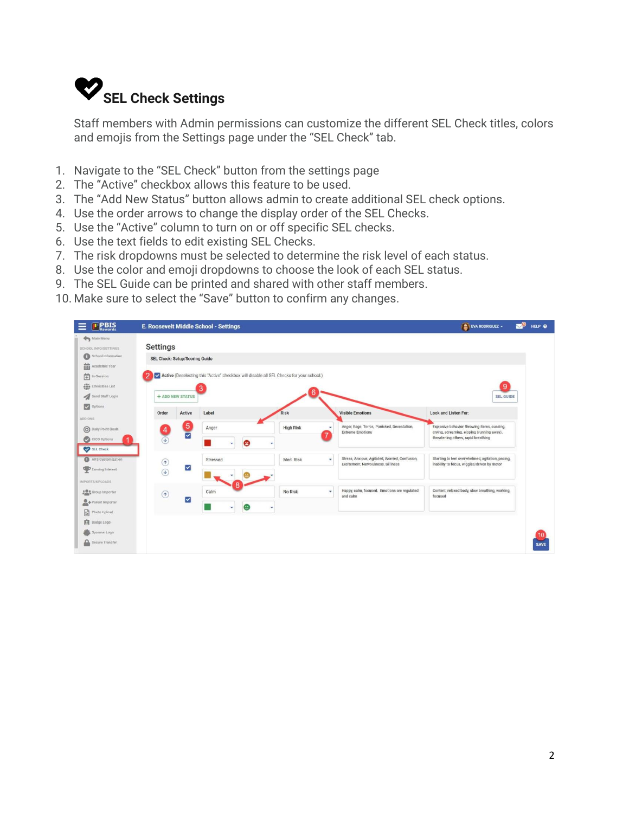

Staff members with Admin permissions can customize the different SEL Check titles, colors and emojis from the Settings page under the "SEL Check" tab.

- 1. Navigate to the "SEL Check" button from the settings page
- 2. The "Active" checkbox allows this feature to be used.
- 3. The "Add New Status" button allows admin to create additional SEL check options.
- 4. Use the order arrows to change the display order of the SEL Checks.
- 5. Use the "Active" column to turn on or off specific SEL checks.
- 6. Use the text fields to edit existing SEL Checks.
- 7. The risk dropdowns must be selected to determine the risk level of each status.
- 8. Use the color and emoji dropdowns to choose the look of each SEL status.
- 9. The SEL Guide can be printed and shared with other staff members.
- 10. Make sure to select the "Save" button to confirm any changes.

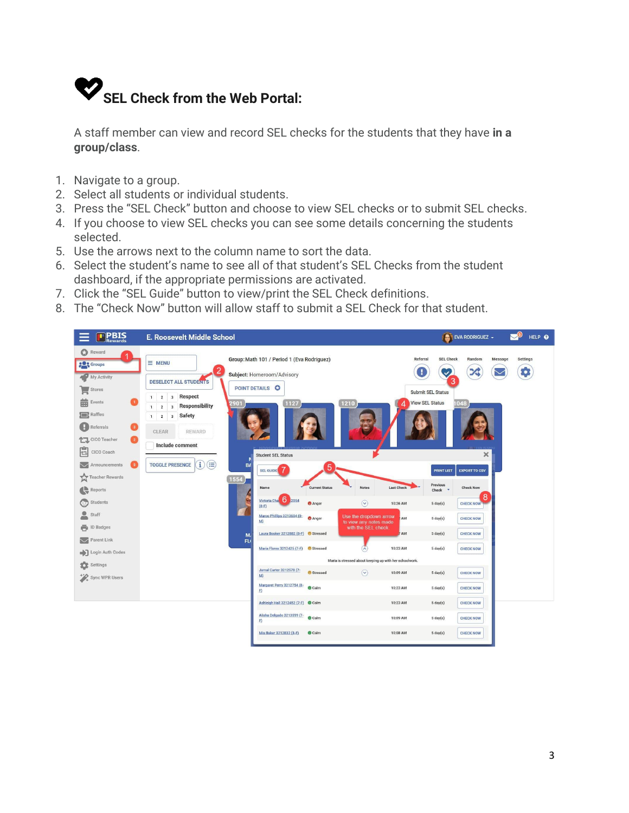

A staff member can view and record SEL checks for the students that they have **in a group/class**.

- 1. Navigate to a group.
- 2. Select all students or individual students.
- 3. Press the "SEL Check" button and choose to view SEL checks or to submit SEL checks.
- 4. If you choose to view SEL checks you can see some details concerning the students selected.
- 5. Use the arrows next to the column name to sort the data.
- 6. Select the student's name to see all of that student's SEL Checks from the student dashboard, if the appropriate permissions are activated.
- 7. Click the "SEL Guide" button to view/print the SEL Check definitions.
- 8. The "Check Now" button will allow staff to submit a SEL Check for that student.

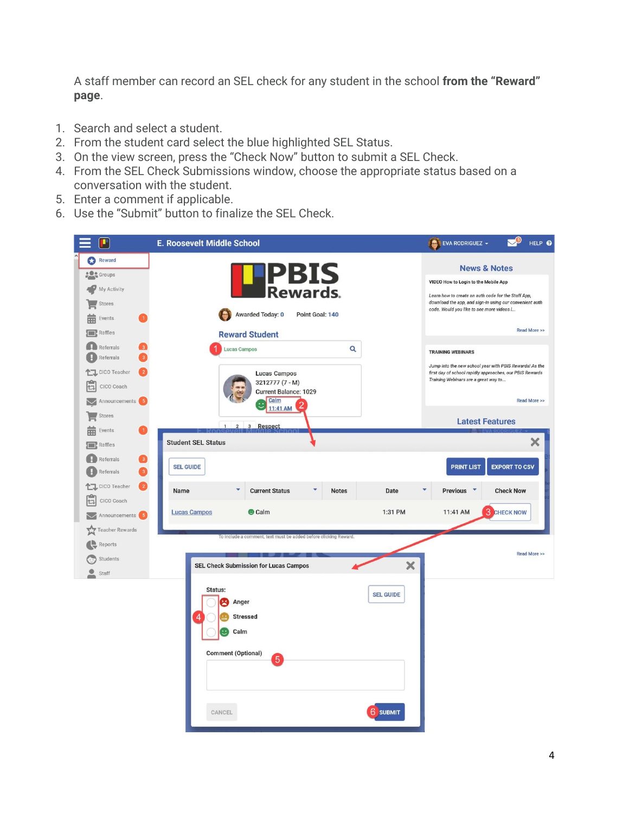A staff member can record an SEL check for any student in the school **from the "Reward" page**.

- 1. Search and select a student.
- 2. From the student card select the blue highlighted SEL Status.
- 3. On the view screen, press the "Check Now" button to submit a SEL Check.
- 4. From the SEL Check Submissions window, choose the appropriate status based on a conversation with the student.
- 5. Enter a comment if applicable.
- 6. Use the "Submit" button to finalize the SEL Check.

|           | P                                                             | <b>E. Roosevelt Middle School</b>                                                                                                  | EVA RODRIGUEZ -                                                                                                                                                                                                                | HELP @               |
|-----------|---------------------------------------------------------------|------------------------------------------------------------------------------------------------------------------------------------|--------------------------------------------------------------------------------------------------------------------------------------------------------------------------------------------------------------------------------|----------------------|
|           | Reward<br><b>De</b> Groups<br>My Activity<br>Stores<br>Events | <b>PBIS</b><br><b>Rewards.</b><br>Awarded Today: 0<br>Point Goal: 140                                                              | <b>News &amp; Notes</b><br>VIDEO How to Login to the Mobile App<br>Learn how to create an auth code for the Staff App,<br>download the app, and sign-in using our convenient auth<br>code. Would you like to see more videos I |                      |
|           | <b>Raffles</b>                                                | <b>Reward Student</b>                                                                                                              |                                                                                                                                                                                                                                | Read More >>         |
|           | Referrals<br>Referrals                                        | Q<br>Lucas Campos                                                                                                                  | <b>TRAINING WEBINARS</b>                                                                                                                                                                                                       |                      |
| 心         | <b>个工</b> CICO Teacher<br>CICO Coach<br>Announcements 5       | Lucas Campos<br>3212777 (7 - M)<br><b>Current Balance: 1029</b><br>Calm                                                            | Jump into the new school year with PBIS Rewards! As the<br>first day of school rapidly approaches, our PBIS Rewards<br>Training Webinars are a great way to                                                                    | Read More >>         |
|           | $S$ tores<br>蘦<br>Events                                      | 11:41 AM<br>1 2 3 Respect                                                                                                          | <b>Latest Features</b>                                                                                                                                                                                                         |                      |
|           | <b>Raffles</b>                                                | <b>Student SEL Status</b>                                                                                                          |                                                                                                                                                                                                                                | $\times$             |
|           | $\Box$ Referrals<br>Referrals                                 | <b>SEL GUIDE</b>                                                                                                                   | <b>PRINT LIST</b>                                                                                                                                                                                                              | <b>EXPORT TO CSV</b> |
|           | 个工 CICO Teacher<br>$\overline{2}$                             | <b>Current Status</b><br>Date<br>Name<br><b>Notes</b>                                                                              | <b>Previous</b>                                                                                                                                                                                                                | <b>Check Now</b>     |
| セマ        | CICO Coach<br>Announcements 5                                 | <b>O</b> Calm<br>1:31 PM<br><b>Lucas Campos</b>                                                                                    | 3<br>11:41 AM                                                                                                                                                                                                                  | <b>CHECK NOW</b>     |
|           | Teacher Rewards                                               | To include a comment, text must be added before clicking Reward                                                                    |                                                                                                                                                                                                                                |                      |
| $\bullet$ | Reports<br>Students<br>Staff                                  | $\times$<br><b>SEL Check Submission for Lucas Campos</b>                                                                           |                                                                                                                                                                                                                                | Read More >>         |
|           |                                                               | Status:<br><b>SEL GUIDE</b><br>Anger<br>pq<br><b>Stressed</b><br>4<br>Calm<br><b>Comment (Optional)</b><br>5<br>6 SUBMIT<br>CANCEL |                                                                                                                                                                                                                                |                      |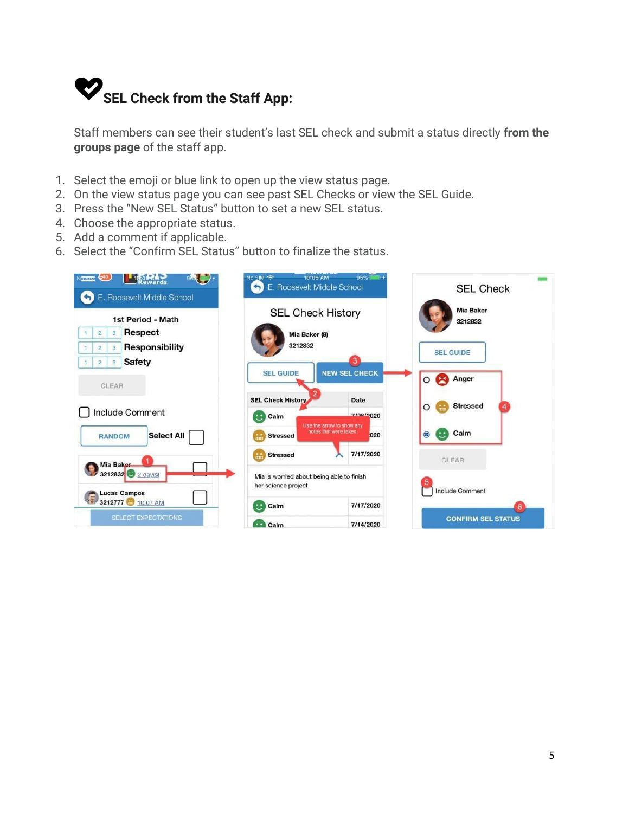

Staff members can see their student's last SEL check and submit a status directly **from the groups page** of the staff app.

- 1. Select the emoji or blue link to open up the view status page.
- 2. On the view status page you can see past SEL Checks or view the SEL Guide.
- 3. Press the "New SEL Status" button to set a new SEL status.
- 4. Choose the appropriate status.
- 5. Add a comment if applicable.
- 6. Select the "Confirm SEL Status" button to finalize the status.